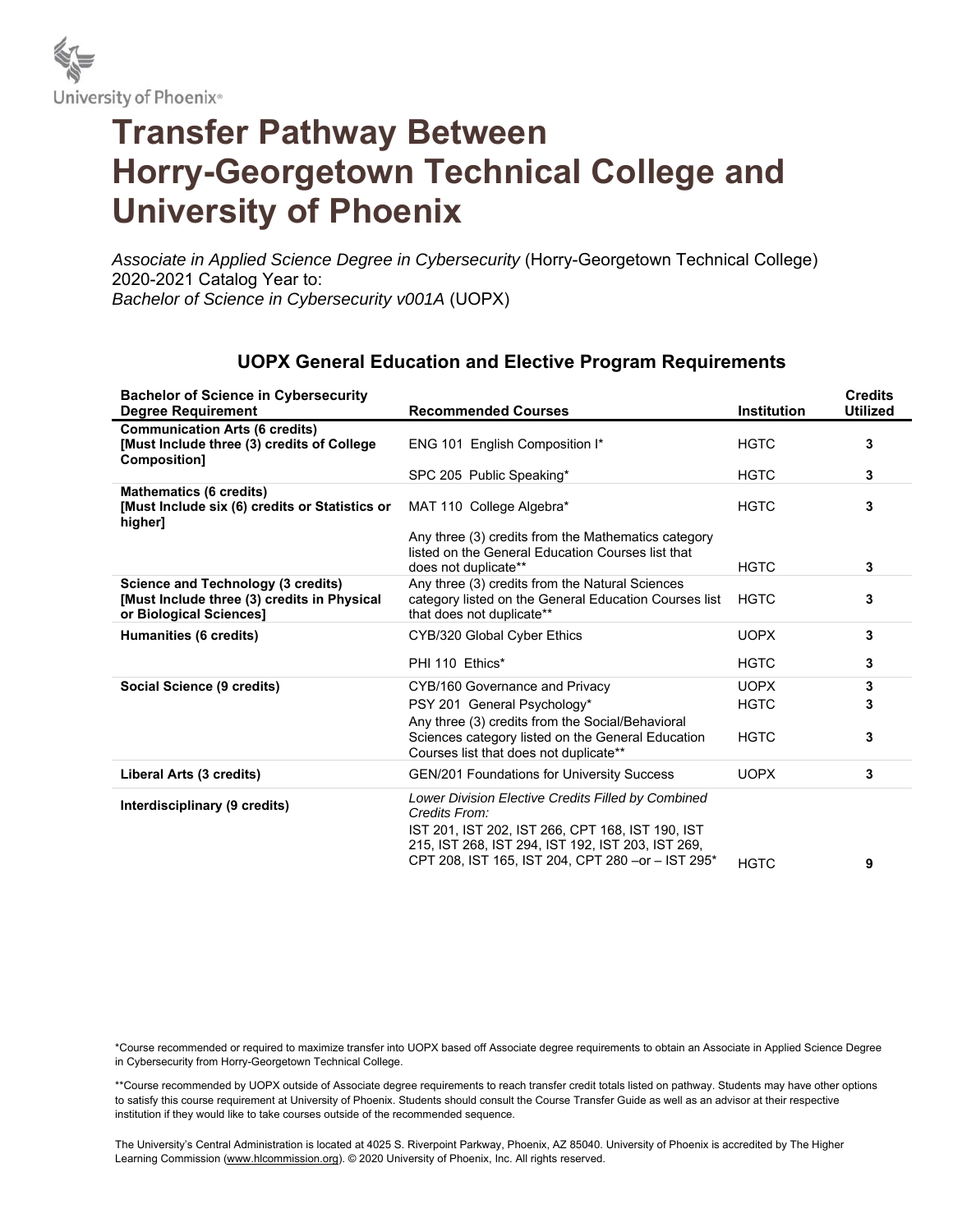

## **Transfer Pathway Between Horry-Georgetown Technical College and University of Phoenix**

*Associate in Applied Science Degree in Cybersecurity* (Horry-Georgetown Technical College) 2020-2021 Catalog Year to: *Bachelor of Science in Cybersecurity v001A* (UOPX)

| <b>Bachelor of Science in Cybersecurity</b><br><b>Degree Requirement</b>                                            | <b>Recommended Courses</b>                                                                                                                                                                                                         | <b>Institution</b> | <b>Credits</b><br><b>Utilized</b> |
|---------------------------------------------------------------------------------------------------------------------|------------------------------------------------------------------------------------------------------------------------------------------------------------------------------------------------------------------------------------|--------------------|-----------------------------------|
| <b>Communication Arts (6 credits)</b><br>[Must Include three (3) credits of College<br><b>Composition1</b>          | ENG 101 English Composition I*                                                                                                                                                                                                     | <b>HGTC</b>        | 3                                 |
|                                                                                                                     | SPC 205 Public Speaking*                                                                                                                                                                                                           | <b>HGTC</b>        | 3                                 |
| <b>Mathematics (6 credits)</b><br>[Must Include six (6) credits or Statistics or<br>higher]                         | MAT 110 College Algebra*                                                                                                                                                                                                           | <b>HGTC</b>        | 3                                 |
|                                                                                                                     | Any three (3) credits from the Mathematics category<br>listed on the General Education Courses list that<br>does not duplicate**                                                                                                   | <b>HGTC</b>        | 3                                 |
| <b>Science and Technology (3 credits)</b><br>[Must Include three (3) credits in Physical<br>or Biological Sciences] | Any three (3) credits from the Natural Sciences<br>category listed on the General Education Courses list<br>that does not duplicate**                                                                                              | <b>HGTC</b>        | 3                                 |
| Humanities (6 credits)                                                                                              | CYB/320 Global Cyber Ethics                                                                                                                                                                                                        | <b>UOPX</b>        | 3                                 |
|                                                                                                                     | PHI 110 Ethics*                                                                                                                                                                                                                    | <b>HGTC</b>        | 3                                 |
| Social Science (9 credits)                                                                                          | CYB/160 Governance and Privacy                                                                                                                                                                                                     | <b>UOPX</b>        | 3                                 |
|                                                                                                                     | PSY 201 General Psychology*<br>Any three (3) credits from the Social/Behavioral                                                                                                                                                    | <b>HGTC</b>        | 3                                 |
|                                                                                                                     | Sciences category listed on the General Education<br>Courses list that does not duplicate**                                                                                                                                        | <b>HGTC</b>        | 3                                 |
| Liberal Arts (3 credits)                                                                                            | <b>GEN/201 Foundations for University Success</b>                                                                                                                                                                                  | <b>UOPX</b>        | 3                                 |
| Interdisciplinary (9 credits)                                                                                       | Lower Division Elective Credits Filled by Combined<br>Credits From:<br>IST 201, IST 202, IST 266, CPT 168, IST 190, IST<br>215, IST 268, IST 294, IST 192, IST 203, IST 269,<br>CPT 208, IST 165, IST 204, CPT 280 - or - IST 295* | <b>HGTC</b>        | 9                                 |

## **UOPX General Education and Elective Program Requirements**

\*Course recommended or required to maximize transfer into UOPX based off Associate degree requirements to obtain an Associate in Applied Science Degree in Cybersecurity from Horry-Georgetown Technical College.

\*\*Course recommended by UOPX outside of Associate degree requirements to reach transfer credit totals listed on pathway. Students may have other options to satisfy this course requirement at University of Phoenix. Students should consult the Course Transfer Guide as well as an advisor at their respective institution if they would like to take courses outside of the recommended sequence.

The University's Central Administration is located at 4025 S. Riverpoint Parkway, Phoenix, AZ 85040. University of Phoenix is accredited by The Higher Learning Commission (www.hlcommission.org). @ 2020 University of Phoenix, Inc. All rights reserved.